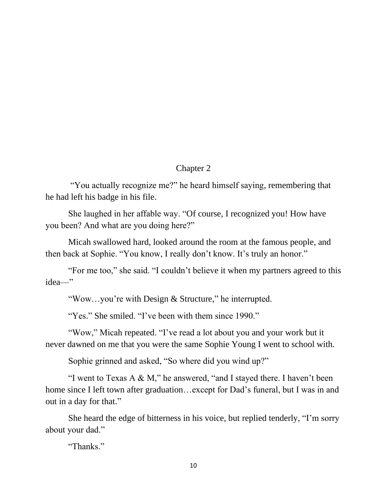## Chapter 2

"You actually recognize me?" he heard himself saying, remembering that he had left his badge in his file.

She laughed in her affable way. "Of course, I recognized you! How have you been? And what are you doing here?"

Micah swallowed hard, looked around the room at the famous people, and then back at Sophie. "You know, I really don't know. It's truly an honor."

"For me too," she said. "I couldn't believe it when my partners agreed to this idea—"

"Wow…you're with Design & Structure," he interrupted.

"Yes." She smiled. "I've been with them since 1990."

"Wow," Micah repeated. "I've read a lot about you and your work but it never dawned on me that you were the same Sophie Young I went to school with.

Sophie grinned and asked, "So where did you wind up?"

"I went to Texas A  $\&$  M," he answered, "and I stayed there. I haven't been home since I left town after graduation...except for Dad's funeral, but I was in and out in a day for that."

She heard the edge of bitterness in his voice, but replied tenderly, "I'm sorry about your dad."

"Thanks."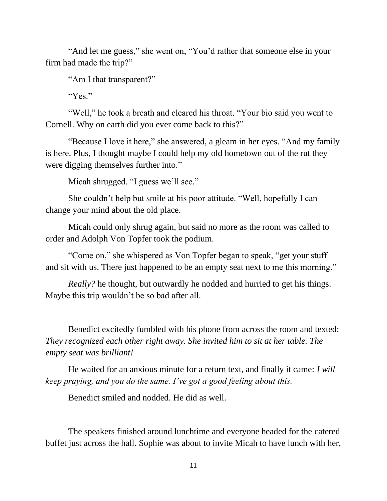"And let me guess," she went on, "You'd rather that someone else in your firm had made the trip?"

"Am I that transparent?"

"Yes."

"Well," he took a breath and cleared his throat. "Your bio said you went to Cornell. Why on earth did you ever come back to this?"

"Because I love it here," she answered, a gleam in her eyes. "And my family is here. Plus, I thought maybe I could help my old hometown out of the rut they were digging themselves further into."

Micah shrugged. "I guess we'll see."

She couldn't help but smile at his poor attitude. "Well, hopefully I can change your mind about the old place.

Micah could only shrug again, but said no more as the room was called to order and Adolph Von Topfer took the podium.

"Come on," she whispered as Von Topfer began to speak, "get your stuff and sit with us. There just happened to be an empty seat next to me this morning."

*Really?* he thought, but outwardly he nodded and hurried to get his things. Maybe this trip wouldn't be so bad after all.

Benedict excitedly fumbled with his phone from across the room and texted: *They recognized each other right away. She invited him to sit at her table. The empty seat was brilliant!*

He waited for an anxious minute for a return text, and finally it came: *I will keep praying, and you do the same. I've got a good feeling about this.*

Benedict smiled and nodded. He did as well.

The speakers finished around lunchtime and everyone headed for the catered buffet just across the hall. Sophie was about to invite Micah to have lunch with her,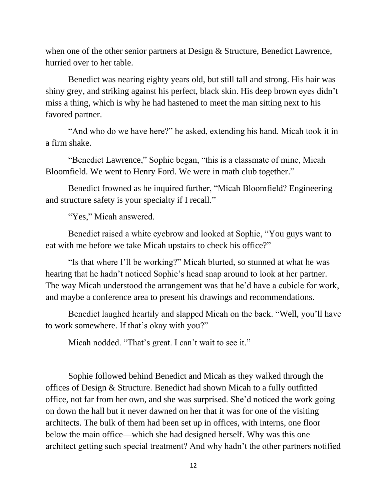when one of the other senior partners at Design & Structure, Benedict Lawrence, hurried over to her table.

Benedict was nearing eighty years old, but still tall and strong. His hair was shiny grey, and striking against his perfect, black skin. His deep brown eyes didn't miss a thing, which is why he had hastened to meet the man sitting next to his favored partner.

"And who do we have here?" he asked, extending his hand. Micah took it in a firm shake.

"Benedict Lawrence," Sophie began, "this is a classmate of mine, Micah Bloomfield. We went to Henry Ford. We were in math club together."

Benedict frowned as he inquired further, "Micah Bloomfield? Engineering and structure safety is your specialty if I recall."

"Yes," Micah answered.

Benedict raised a white eyebrow and looked at Sophie, "You guys want to eat with me before we take Micah upstairs to check his office?"

"Is that where I'll be working?" Micah blurted, so stunned at what he was hearing that he hadn't noticed Sophie's head snap around to look at her partner. The way Micah understood the arrangement was that he'd have a cubicle for work, and maybe a conference area to present his drawings and recommendations.

Benedict laughed heartily and slapped Micah on the back. "Well, you'll have to work somewhere. If that's okay with you?"

Micah nodded. "That's great. I can't wait to see it."

Sophie followed behind Benedict and Micah as they walked through the offices of Design & Structure. Benedict had shown Micah to a fully outfitted office, not far from her own, and she was surprised. She'd noticed the work going on down the hall but it never dawned on her that it was for one of the visiting architects. The bulk of them had been set up in offices, with interns, one floor below the main office—which she had designed herself. Why was this one architect getting such special treatment? And why hadn't the other partners notified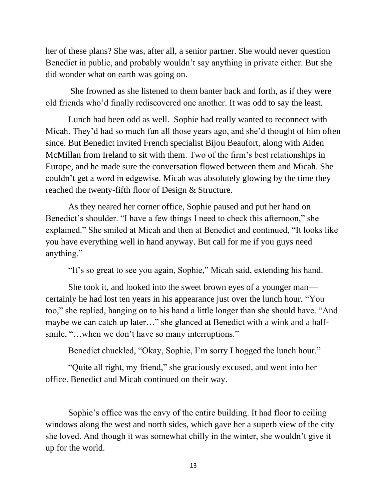her of these plans? She was, after all, a senior partner. She would never question Benedict in public, and probably wouldn't say anything in private either. But she did wonder what on earth was going on.

She frowned as she listened to them banter back and forth, as if they were old friends who'd finally rediscovered one another. It was odd to say the least.

Lunch had been odd as well. Sophie had really wanted to reconnect with Micah. They'd had so much fun all those years ago, and she'd thought of him often since. But Benedict invited French specialist Bijou Beaufort, along with Aiden McMillan from Ireland to sit with them. Two of the firm's best relationships in Europe, and he made sure the conversation flowed between them and Micah. She couldn't get a word in edgewise. Micah was absolutely glowing by the time they reached the twenty-fifth floor of Design & Structure.

As they neared her corner office, Sophie paused and put her hand on Benedict's shoulder. "I have a few things I need to check this afternoon," she explained." She smiled at Micah and then at Benedict and continued, "It looks like you have everything well in hand anyway. But call for me if you guys need anything."

"It's so great to see you again, Sophie," Micah said, extending his hand.

She took it, and looked into the sweet brown eyes of a younger man certainly he had lost ten years in his appearance just over the lunch hour. "You too," she replied, hanging on to his hand a little longer than she should have. "And maybe we can catch up later…" she glanced at Benedict with a wink and a halfsmile, "...when we don't have so many interruptions."

Benedict chuckled, "Okay, Sophie, I'm sorry I hogged the lunch hour."

"Quite all right, my friend," she graciously excused, and went into her office. Benedict and Micah continued on their way.

Sophie's office was the envy of the entire building. It had floor to ceiling windows along the west and north sides, which gave her a superb view of the city she loved. And though it was somewhat chilly in the winter, she wouldn't give it up for the world.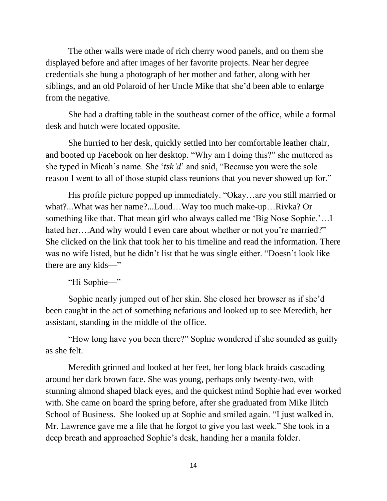The other walls were made of rich cherry wood panels, and on them she displayed before and after images of her favorite projects. Near her degree credentials she hung a photograph of her mother and father, along with her siblings, and an old Polaroid of her Uncle Mike that she'd been able to enlarge from the negative.

She had a drafting table in the southeast corner of the office, while a formal desk and hutch were located opposite.

She hurried to her desk, quickly settled into her comfortable leather chair, and booted up Facebook on her desktop. "Why am I doing this?" she muttered as she typed in Micah's name. She '*tsk'd*' and said, "Because you were the sole reason I went to all of those stupid class reunions that you never showed up for."

His profile picture popped up immediately. "Okay…are you still married or what?...What was her name?...Loud…Way too much make-up…Rivka? Or something like that. That mean girl who always called me 'Big Nose Sophie.'…I hated her....And why would I even care about whether or not you're married?" She clicked on the link that took her to his timeline and read the information. There was no wife listed, but he didn't list that he was single either. "Doesn't look like there are any kids—"

"Hi Sophie—"

Sophie nearly jumped out of her skin. She closed her browser as if she'd been caught in the act of something nefarious and looked up to see Meredith, her assistant, standing in the middle of the office.

"How long have you been there?" Sophie wondered if she sounded as guilty as she felt.

Meredith grinned and looked at her feet, her long black braids cascading around her dark brown face. She was young, perhaps only twenty-two, with stunning almond shaped black eyes, and the quickest mind Sophie had ever worked with. She came on board the spring before, after she graduated from Mike Ilitch School of Business. She looked up at Sophie and smiled again. "I just walked in. Mr. Lawrence gave me a file that he forgot to give you last week." She took in a deep breath and approached Sophie's desk, handing her a manila folder.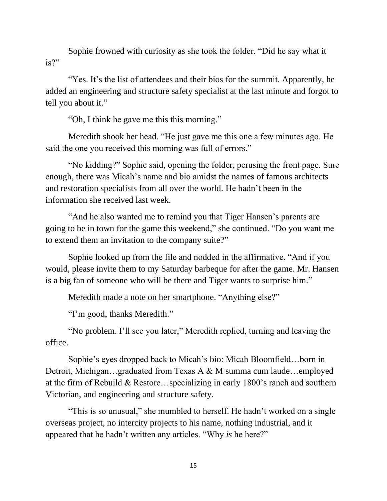Sophie frowned with curiosity as she took the folder. "Did he say what it is?"

"Yes. It's the list of attendees and their bios for the summit. Apparently, he added an engineering and structure safety specialist at the last minute and forgot to tell you about it."

"Oh, I think he gave me this this morning."

Meredith shook her head. "He just gave me this one a few minutes ago. He said the one you received this morning was full of errors."

"No kidding?" Sophie said, opening the folder, perusing the front page. Sure enough, there was Micah's name and bio amidst the names of famous architects and restoration specialists from all over the world. He hadn't been in the information she received last week.

"And he also wanted me to remind you that Tiger Hansen's parents are going to be in town for the game this weekend," she continued. "Do you want me to extend them an invitation to the company suite?"

Sophie looked up from the file and nodded in the affirmative. "And if you would, please invite them to my Saturday barbeque for after the game. Mr. Hansen is a big fan of someone who will be there and Tiger wants to surprise him."

Meredith made a note on her smartphone. "Anything else?"

"I'm good, thanks Meredith."

"No problem. I'll see you later," Meredith replied, turning and leaving the office.

Sophie's eyes dropped back to Micah's bio: Micah Bloomfield…born in Detroit, Michigan…graduated from Texas A & M summa cum laude…employed at the firm of Rebuild & Restore…specializing in early 1800's ranch and southern Victorian, and engineering and structure safety.

"This is so unusual," she mumbled to herself. He hadn't worked on a single overseas project, no intercity projects to his name, nothing industrial, and it appeared that he hadn't written any articles. "Why *is* he here?"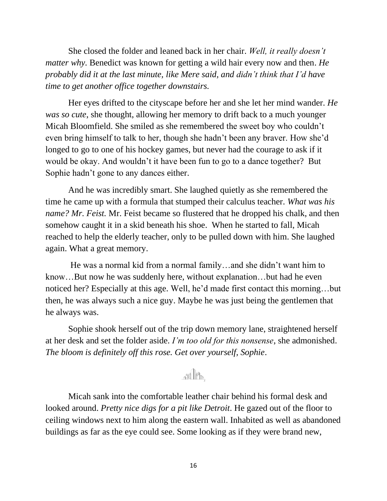She closed the folder and leaned back in her chair. *Well, it really doesn't matter why.* Benedict was known for getting a wild hair every now and then. *He probably did it at the last minute, like Mere said, and didn't think that I'd have time to get another office together downstairs.*

Her eyes drifted to the cityscape before her and she let her mind wander. *He was so cute*, she thought, allowing her memory to drift back to a much younger Micah Bloomfield. She smiled as she remembered the sweet boy who couldn't even bring himself to talk to her, though she hadn't been any braver. How she'd longed to go to one of his hockey games, but never had the courage to ask if it would be okay. And wouldn't it have been fun to go to a dance together? But Sophie hadn't gone to any dances either.

And he was incredibly smart. She laughed quietly as she remembered the time he came up with a formula that stumped their calculus teacher. *What was his name? Mr. Feist.* Mr. Feist became so flustered that he dropped his chalk, and then somehow caught it in a skid beneath his shoe. When he started to fall, Micah reached to help the elderly teacher, only to be pulled down with him. She laughed again. What a great memory.

He was a normal kid from a normal family…and she didn't want him to know…But now he was suddenly here, without explanation…but had he even noticed her? Especially at this age. Well, he'd made first contact this morning…but then, he was always such a nice guy. Maybe he was just being the gentlemen that he always was.

Sophie shook herself out of the trip down memory lane, straightened herself at her desk and set the folder aside. *I'm too old for this nonsense*, she admonished. *The bloom is definitely off this rose. Get over yourself, Sophie*.

## FIL

Micah sank into the comfortable leather chair behind his formal desk and looked around. *Pretty nice digs for a pit like Detroit*. He gazed out of the floor to ceiling windows next to him along the eastern wall. Inhabited as well as abandoned buildings as far as the eye could see. Some looking as if they were brand new,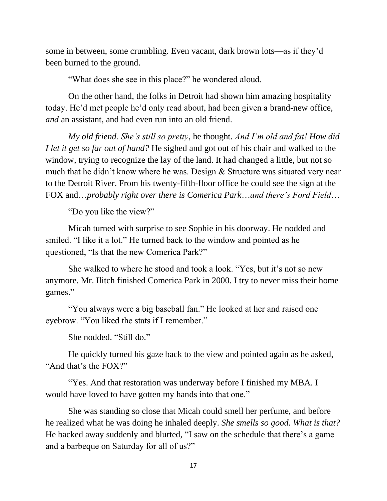some in between, some crumbling. Even vacant, dark brown lots—as if they'd been burned to the ground.

"What does she see in this place?" he wondered aloud.

On the other hand, the folks in Detroit had shown him amazing hospitality today. He'd met people he'd only read about, had been given a brand-new office, *and* an assistant, and had even run into an old friend.

*My old friend. She's still so pretty*, he thought. *And I'm old and fat! How did I let it get so far out of hand?* He sighed and got out of his chair and walked to the window, trying to recognize the lay of the land. It had changed a little, but not so much that he didn't know where he was. Design & Structure was situated very near to the Detroit River. From his twenty-fifth-floor office he could see the sign at the FOX and…*probably right over there is Comerica Park*…*and there's Ford Field*…

"Do you like the view?"

Micah turned with surprise to see Sophie in his doorway. He nodded and smiled. "I like it a lot." He turned back to the window and pointed as he questioned, "Is that the new Comerica Park?"

She walked to where he stood and took a look. "Yes, but it's not so new anymore. Mr. Ilitch finished Comerica Park in 2000. I try to never miss their home games."

"You always were a big baseball fan." He looked at her and raised one eyebrow. "You liked the stats if I remember."

She nodded. "Still do."

He quickly turned his gaze back to the view and pointed again as he asked, "And that's the FOX?"

"Yes. And that restoration was underway before I finished my MBA. I would have loved to have gotten my hands into that one."

She was standing so close that Micah could smell her perfume, and before he realized what he was doing he inhaled deeply. *She smells so good. What is that?* He backed away suddenly and blurted, "I saw on the schedule that there's a game and a barbeque on Saturday for all of us?"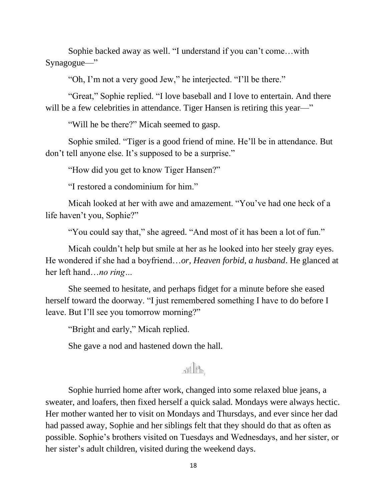Sophie backed away as well. "I understand if you can't come…with Synagogue—"

"Oh, I'm not a very good Jew," he interjected. "I'll be there."

"Great," Sophie replied. "I love baseball and I love to entertain. And there will be a few celebrities in attendance. Tiger Hansen is retiring this year—"

"Will he be there?" Micah seemed to gasp.

Sophie smiled. "Tiger is a good friend of mine. He'll be in attendance. But don't tell anyone else. It's supposed to be a surprise."

"How did you get to know Tiger Hansen?"

"I restored a condominium for him."

Micah looked at her with awe and amazement. "You've had one heck of a life haven't you, Sophie?"

"You could say that," she agreed. "And most of it has been a lot of fun."

Micah couldn't help but smile at her as he looked into her steely gray eyes. He wondered if she had a boyfriend…*or, Heaven forbid, a husband*. He glanced at her left hand…*no ring…*

She seemed to hesitate, and perhaps fidget for a minute before she eased herself toward the doorway. "I just remembered something I have to do before I leave. But I'll see you tomorrow morning?"

"Bright and early," Micah replied.

She gave a nod and hastened down the hall.

## an Ith

Sophie hurried home after work, changed into some relaxed blue jeans, a sweater, and loafers, then fixed herself a quick salad. Mondays were always hectic. Her mother wanted her to visit on Mondays and Thursdays, and ever since her dad had passed away, Sophie and her siblings felt that they should do that as often as possible. Sophie's brothers visited on Tuesdays and Wednesdays, and her sister, or her sister's adult children, visited during the weekend days.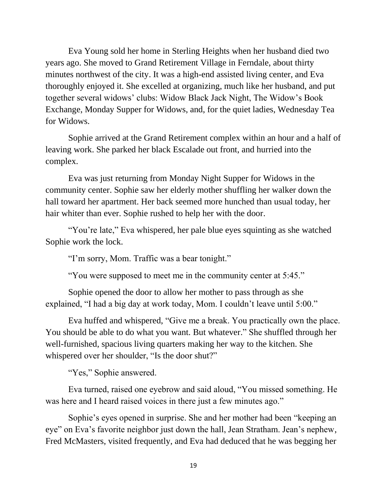Eva Young sold her home in Sterling Heights when her husband died two years ago. She moved to Grand Retirement Village in Ferndale, about thirty minutes northwest of the city. It was a high-end assisted living center, and Eva thoroughly enjoyed it. She excelled at organizing, much like her husband, and put together several widows' clubs: Widow Black Jack Night, The Widow's Book Exchange, Monday Supper for Widows, and, for the quiet ladies, Wednesday Tea for Widows.

Sophie arrived at the Grand Retirement complex within an hour and a half of leaving work. She parked her black Escalade out front, and hurried into the complex.

Eva was just returning from Monday Night Supper for Widows in the community center. Sophie saw her elderly mother shuffling her walker down the hall toward her apartment. Her back seemed more hunched than usual today, her hair whiter than ever. Sophie rushed to help her with the door.

"You're late," Eva whispered, her pale blue eyes squinting as she watched Sophie work the lock.

"I'm sorry, Mom. Traffic was a bear tonight."

"You were supposed to meet me in the community center at 5:45."

Sophie opened the door to allow her mother to pass through as she explained, "I had a big day at work today, Mom. I couldn't leave until 5:00."

Eva huffed and whispered, "Give me a break. You practically own the place. You should be able to do what you want. But whatever." She shuffled through her well-furnished, spacious living quarters making her way to the kitchen. She whispered over her shoulder, "Is the door shut?"

"Yes," Sophie answered.

Eva turned, raised one eyebrow and said aloud, "You missed something. He was here and I heard raised voices in there just a few minutes ago."

Sophie's eyes opened in surprise. She and her mother had been "keeping an eye" on Eva's favorite neighbor just down the hall, Jean Stratham. Jean's nephew, Fred McMasters, visited frequently, and Eva had deduced that he was begging her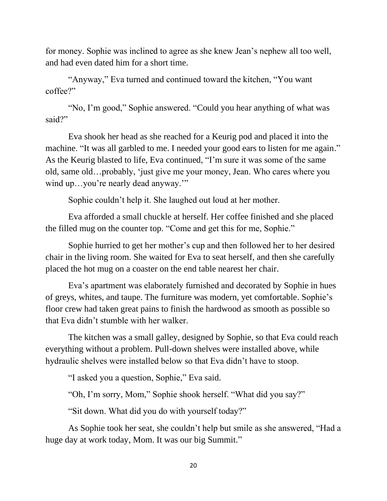for money. Sophie was inclined to agree as she knew Jean's nephew all too well, and had even dated him for a short time.

"Anyway," Eva turned and continued toward the kitchen, "You want coffee?"

"No, I'm good," Sophie answered. "Could you hear anything of what was said?"

Eva shook her head as she reached for a Keurig pod and placed it into the machine. "It was all garbled to me. I needed your good ears to listen for me again." As the Keurig blasted to life, Eva continued, "I'm sure it was some of the same old, same old…probably, 'just give me your money, Jean. Who cares where you wind up...you're nearly dead anyway."

Sophie couldn't help it. She laughed out loud at her mother.

Eva afforded a small chuckle at herself. Her coffee finished and she placed the filled mug on the counter top. "Come and get this for me, Sophie."

Sophie hurried to get her mother's cup and then followed her to her desired chair in the living room. She waited for Eva to seat herself, and then she carefully placed the hot mug on a coaster on the end table nearest her chair.

Eva's apartment was elaborately furnished and decorated by Sophie in hues of greys, whites, and taupe. The furniture was modern, yet comfortable. Sophie's floor crew had taken great pains to finish the hardwood as smooth as possible so that Eva didn't stumble with her walker.

The kitchen was a small galley, designed by Sophie, so that Eva could reach everything without a problem. Pull-down shelves were installed above, while hydraulic shelves were installed below so that Eva didn't have to stoop.

"I asked you a question, Sophie," Eva said.

"Oh, I'm sorry, Mom," Sophie shook herself. "What did you say?"

"Sit down. What did you do with yourself today?"

As Sophie took her seat, she couldn't help but smile as she answered, "Had a huge day at work today, Mom. It was our big Summit."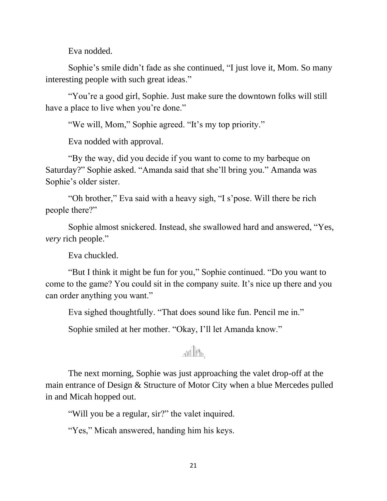Eva nodded.

Sophie's smile didn't fade as she continued, "I just love it, Mom. So many interesting people with such great ideas."

"You're a good girl, Sophie. Just make sure the downtown folks will still have a place to live when you're done."

"We will, Mom," Sophie agreed. "It's my top priority."

Eva nodded with approval.

"By the way, did you decide if you want to come to my barbeque on Saturday?" Sophie asked. "Amanda said that she'll bring you." Amanda was Sophie's older sister.

"Oh brother," Eva said with a heavy sigh, "I s'pose. Will there be rich people there?"

Sophie almost snickered. Instead, she swallowed hard and answered, "Yes, *very* rich people."

Eva chuckled.

"But I think it might be fun for you," Sophie continued. "Do you want to come to the game? You could sit in the company suite. It's nice up there and you can order anything you want."

Eva sighed thoughtfully. "That does sound like fun. Pencil me in."

Sophie smiled at her mother. "Okay, I'll let Amanda know."

## an Ph

The next morning, Sophie was just approaching the valet drop-off at the main entrance of Design & Structure of Motor City when a blue Mercedes pulled in and Micah hopped out.

"Will you be a regular, sir?" the valet inquired.

"Yes," Micah answered, handing him his keys.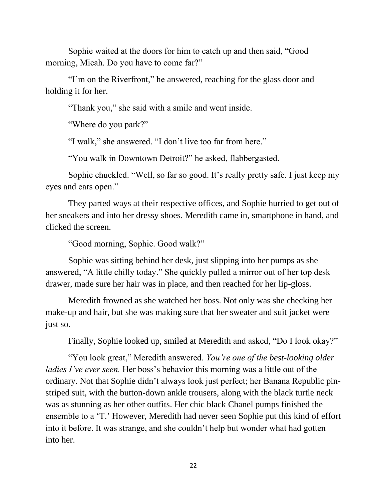Sophie waited at the doors for him to catch up and then said, "Good morning, Micah. Do you have to come far?"

"I'm on the Riverfront," he answered, reaching for the glass door and holding it for her.

"Thank you," she said with a smile and went inside.

"Where do you park?"

"I walk," she answered. "I don't live too far from here."

"You walk in Downtown Detroit?" he asked, flabbergasted.

Sophie chuckled. "Well, so far so good. It's really pretty safe. I just keep my eyes and ears open."

They parted ways at their respective offices, and Sophie hurried to get out of her sneakers and into her dressy shoes. Meredith came in, smartphone in hand, and clicked the screen.

"Good morning, Sophie. Good walk?"

Sophie was sitting behind her desk, just slipping into her pumps as she answered, "A little chilly today." She quickly pulled a mirror out of her top desk drawer, made sure her hair was in place, and then reached for her lip-gloss.

Meredith frowned as she watched her boss. Not only was she checking her make-up and hair, but she was making sure that her sweater and suit jacket were just so.

Finally, Sophie looked up, smiled at Meredith and asked, "Do I look okay?"

"You look great," Meredith answered. *You're one of the best-looking older ladies I've ever seen.* Her boss's behavior this morning was a little out of the ordinary. Not that Sophie didn't always look just perfect; her Banana Republic pinstriped suit, with the button-down ankle trousers, along with the black turtle neck was as stunning as her other outfits. Her chic black Chanel pumps finished the ensemble to a 'T.' However, Meredith had never seen Sophie put this kind of effort into it before. It was strange, and she couldn't help but wonder what had gotten into her.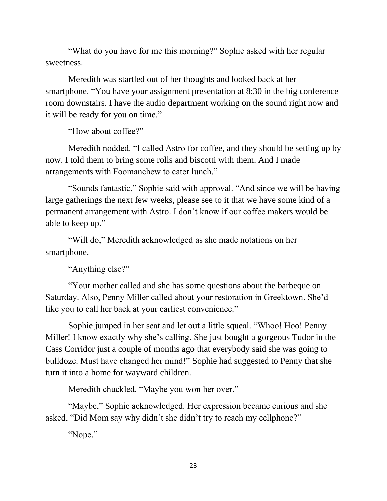"What do you have for me this morning?" Sophie asked with her regular sweetness.

Meredith was startled out of her thoughts and looked back at her smartphone. "You have your assignment presentation at 8:30 in the big conference room downstairs. I have the audio department working on the sound right now and it will be ready for you on time."

"How about coffee?"

Meredith nodded. "I called Astro for coffee, and they should be setting up by now. I told them to bring some rolls and biscotti with them. And I made arrangements with Foomanchew to cater lunch."

"Sounds fantastic," Sophie said with approval. "And since we will be having large gatherings the next few weeks, please see to it that we have some kind of a permanent arrangement with Astro. I don't know if our coffee makers would be able to keep up."

"Will do," Meredith acknowledged as she made notations on her smartphone.

"Anything else?"

"Your mother called and she has some questions about the barbeque on Saturday. Also, Penny Miller called about your restoration in Greektown. She'd like you to call her back at your earliest convenience."

Sophie jumped in her seat and let out a little squeal. "Whoo! Hoo! Penny Miller! I know exactly why she's calling. She just bought a gorgeous Tudor in the Cass Corridor just a couple of months ago that everybody said she was going to bulldoze. Must have changed her mind!" Sophie had suggested to Penny that she turn it into a home for wayward children.

Meredith chuckled. "Maybe you won her over."

"Maybe," Sophie acknowledged. Her expression became curious and she asked, "Did Mom say why didn't she didn't try to reach my cellphone?"

"Nope."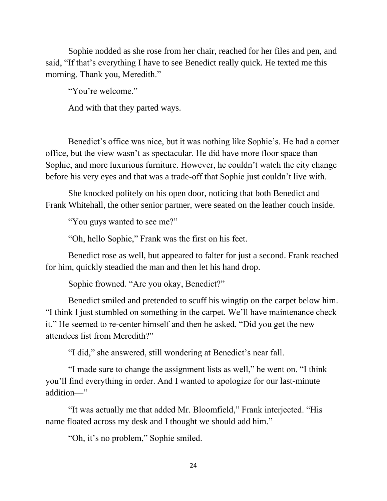Sophie nodded as she rose from her chair, reached for her files and pen, and said, "If that's everything I have to see Benedict really quick. He texted me this morning. Thank you, Meredith."

"You're welcome."

And with that they parted ways.

Benedict's office was nice, but it was nothing like Sophie's. He had a corner office, but the view wasn't as spectacular. He did have more floor space than Sophie, and more luxurious furniture. However, he couldn't watch the city change before his very eyes and that was a trade-off that Sophie just couldn't live with.

She knocked politely on his open door, noticing that both Benedict and Frank Whitehall, the other senior partner, were seated on the leather couch inside.

"You guys wanted to see me?"

"Oh, hello Sophie," Frank was the first on his feet.

Benedict rose as well, but appeared to falter for just a second. Frank reached for him, quickly steadied the man and then let his hand drop.

Sophie frowned. "Are you okay, Benedict?"

Benedict smiled and pretended to scuff his wingtip on the carpet below him. "I think I just stumbled on something in the carpet. We'll have maintenance check it." He seemed to re-center himself and then he asked, "Did you get the new attendees list from Meredith?"

"I did," she answered, still wondering at Benedict's near fall.

"I made sure to change the assignment lists as well," he went on. "I think you'll find everything in order. And I wanted to apologize for our last-minute addition—"

"It was actually me that added Mr. Bloomfield," Frank interjected. "His name floated across my desk and I thought we should add him."

"Oh, it's no problem," Sophie smiled.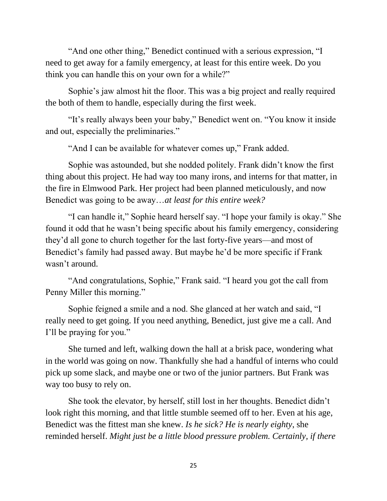"And one other thing," Benedict continued with a serious expression, "I need to get away for a family emergency, at least for this entire week. Do you think you can handle this on your own for a while?"

Sophie's jaw almost hit the floor. This was a big project and really required the both of them to handle, especially during the first week.

"It's really always been your baby," Benedict went on. "You know it inside and out, especially the preliminaries."

"And I can be available for whatever comes up," Frank added.

Sophie was astounded, but she nodded politely. Frank didn't know the first thing about this project. He had way too many irons, and interns for that matter, in the fire in Elmwood Park. Her project had been planned meticulously, and now Benedict was going to be away…*at least for this entire week?*

"I can handle it," Sophie heard herself say. "I hope your family is okay." She found it odd that he wasn't being specific about his family emergency, considering they'd all gone to church together for the last forty-five years—and most of Benedict's family had passed away. But maybe he'd be more specific if Frank wasn't around.

"And congratulations, Sophie," Frank said. "I heard you got the call from Penny Miller this morning."

Sophie feigned a smile and a nod. She glanced at her watch and said, "I really need to get going. If you need anything, Benedict, just give me a call. And I'll be praying for you."

She turned and left, walking down the hall at a brisk pace, wondering what in the world was going on now. Thankfully she had a handful of interns who could pick up some slack, and maybe one or two of the junior partners. But Frank was way too busy to rely on.

She took the elevator, by herself, still lost in her thoughts. Benedict didn't look right this morning, and that little stumble seemed off to her. Even at his age, Benedict was the fittest man she knew. *Is he sick? He is nearly eighty*, she reminded herself. *Might just be a little blood pressure problem. Certainly, if there*